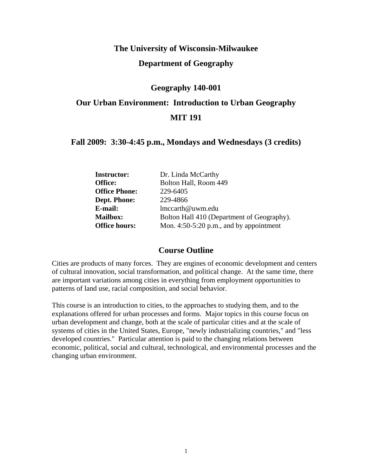# **The University of Wisconsin-Milwaukee Department of Geography**

# **Geography 140-001**

# **Our Urban Environment: Introduction to Urban Geography MIT 191**

# **Fall 2009: 3:30-4:45 p.m., Mondays and Wednesdays (3 credits)**

| <b>Instructor:</b>   | Dr. Linda McCarthy                         |
|----------------------|--------------------------------------------|
| Office:              | Bolton Hall, Room 449                      |
| <b>Office Phone:</b> | 229-6405                                   |
| <b>Dept. Phone:</b>  | 229-4866                                   |
| E-mail:              | lmccarth@uwm.edu                           |
| <b>Mailbox:</b>      | Bolton Hall 410 (Department of Geography). |
| <b>Office hours:</b> | Mon. $4:50-5:20$ p.m., and by appointment  |

# **Course Outline**

Cities are products of many forces. They are engines of economic development and centers of cultural innovation, social transformation, and political change. At the same time, there are important variations among cities in everything from employment opportunities to patterns of land use, racial composition, and social behavior.

This course is an introduction to cities, to the approaches to studying them, and to the explanations offered for urban processes and forms. Major topics in this course focus on urban development and change, both at the scale of particular cities and at the scale of systems of cities in the United States, Europe, "newly industrializing countries," and "less developed countries." Particular attention is paid to the changing relations between economic, political, social and cultural, technological, and environmental processes and the changing urban environment.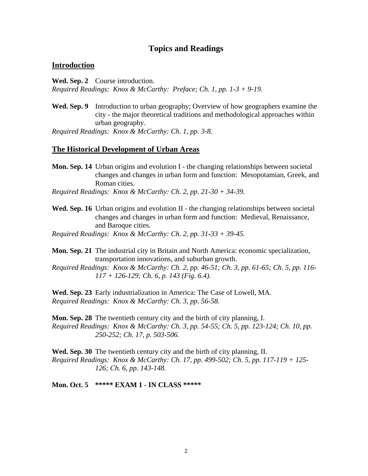# **Topics and Readings**

#### **Introduction**

**Wed. Sep. 2** Course introduction. *Required Readings: Knox & McCarthy: Preface; Ch. 1, pp. 1-3 + 9-19.*

**Wed. Sep. 9** Introduction to urban geography; Overview of how geographers examine the city - the major theoretical traditions and methodological approaches within urban geography.

*Required Readings: Knox & McCarthy: Ch. 1, pp. 3-8.*

#### **The Historical Development of Urban Areas**

**Mon. Sep. 14** Urban origins and evolution I - the changing relationships between societal changes and changes in urban form and function: Mesopotamian, Greek, and Roman cities.

*Required Readings: Knox & McCarthy: Ch. 2, pp. 21-30 + 34-39.* 

- **Wed. Sep. 16** Urban origins and evolution II the changing relationships between societal changes and changes in urban form and function: Medieval, Renaissance, and Baroque cities.
- *Required Readings: Knox & McCarthy: Ch. 2, pp. 31-33 + 39-45.*

**Mon. Sep. 21** The industrial city in Britain and North America: economic specialization, transportation innovations, and suburban growth.

*Required Readings: Knox & McCarthy: Ch. 2, pp. 46-51; Ch. 3, pp. 61-65; Ch. 5, pp. 116- 117 + 126-129; Ch. 6, p. 143 (Fig. 6.4).* 

**Wed. Sep. 23** Early industrialization in America: The Case of Lowell, MA. *Required Readings: Knox & McCarthy: Ch. 3, pp. 56-58.*

**Mon. Sep. 28** The twentieth century city and the birth of city planning, I. *Required Readings: Knox & McCarthy: Ch. 3, pp. 54-55; Ch. 5, pp. 123-124; Ch. 10, pp. 250-252; Ch. 17, p. 503-506.* 

**Wed. Sep. 30** The twentieth century city and the birth of city planning, II. *Required Readings: Knox & McCarthy: Ch. 17, pp. 499-502; Ch. 5, pp. 117-119 + 125- 126; Ch. 6, pp. 143-148.* 

**Mon. Oct. 5 \*\*\*\*\* EXAM 1 - IN CLASS \*\*\*\*\***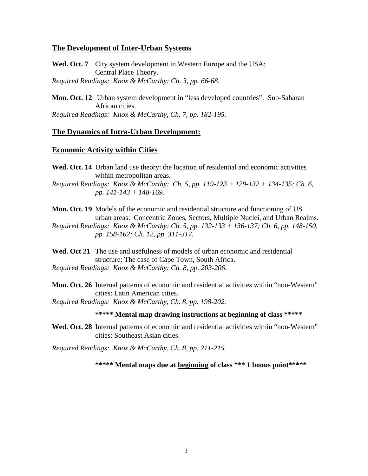## **The Development of Inter-Urban Systems**

**Wed. Oct. 7** City system development in Western Europe and the USA: Central Place Theory. *Required Readings: Knox & McCarthy: Ch. 3, pp. 66-68.*

**Mon. Oct. 12** Urban system development in "less developed countries": Sub-Saharan African cities. *Required Readings: Knox & McCarthy, Ch. 7, pp. 182-195.*

# **The Dynamics of Intra-Urban Development:**

# **Economic Activity within Cities**

**Wed. Oct. 14** Urban land use theory: the location of residential and economic activities within metropolitan areas. *Required Readings: Knox & McCarthy: Ch. 5, pp. 119-123 + 129-132 + 134-135; Ch. 6, pp. 141-143 + 148-169.* 

**Mon. Oct. 19** Models of the economic and residential structure and functioning of US urban areas: Concentric Zones, Sectors, Multiple Nuclei, and Urban Realms. *Required Readings: Knox & McCarthy: Ch. 5, pp. 132-133 + 136-137; Ch. 6, pp. 148-150, pp. 158-162; Ch. 12, pp. 311-317.*

Wed. Oct 21 The use and usefulness of models of urban economic and residential structure: The case of Cape Town, South Africa. *Required Readings: Knox & McCarthy: Ch. 8, pp. 203-206.* 

**Mon. Oct. 26** Internal patterns of economic and residential activities within "non-Western" cities: Latin American cities.

*Required Readings: Knox & McCarthy, Ch. 8, pp. 198-202.*

# **\*\*\*\*\* Mental map drawing instructions at beginning of class \*\*\*\*\***

Wed. Oct. 28 Internal patterns of economic and residential activities within "non-Western" cities: Southeast Asian cities.

*Required Readings: Knox & McCarthy, Ch. 8, pp. 211-215.* 

**\*\*\*\*\* Mental maps due at beginning of class \*\*\* 1 bonus point\*\*\*\*\***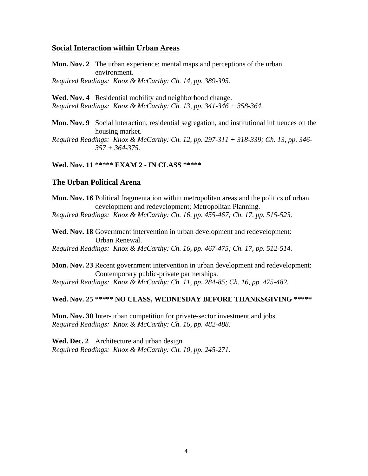### **Social Interaction within Urban Areas**

**Mon. Nov. 2** The urban experience: mental maps and perceptions of the urban environment. *Required Readings: Knox & McCarthy: Ch. 14, pp. 389-395.* 

**Wed. Nov. 4** Residential mobility and neighborhood change. *Required Readings: Knox & McCarthy: Ch. 13, pp. 341-346 + 358-364.* 

**Mon. Nov. 9** Social interaction, residential segregation, and institutional influences on the housing market.

*Required Readings: Knox & McCarthy: Ch. 12, pp. 297-311 + 318-339; Ch. 13, pp. 346- 357 + 364-375.* 

# **Wed. Nov. 11 \*\*\*\*\* EXAM 2 - IN CLASS \*\*\*\*\***

## **The Urban Political Arena**

**Mon. Nov. 16** Political fragmentation within metropolitan areas and the politics of urban development and redevelopment; Metropolitan Planning. *Required Readings: Knox & McCarthy: Ch. 16, pp. 455-467; Ch. 17, pp. 515-523.*

Wed. Nov. 18 Government intervention in urban development and redevelopment: Urban Renewal.

*Required Readings: Knox & McCarthy: Ch. 16, pp. 467-475; Ch. 17, pp. 512-514.*

**Mon. Nov. 23** Recent government intervention in urban development and redevelopment: Contemporary public-private partnerships.

*Required Readings: Knox & McCarthy: Ch. 11, pp. 284-85; Ch. 16, pp. 475-482.* 

## **Wed. Nov. 25 \*\*\*\*\* NO CLASS, WEDNESDAY BEFORE THANKSGIVING \*\*\*\*\***

**Mon. Nov. 30** Inter-urban competition for private-sector investment and jobs. *Required Readings: Knox & McCarthy: Ch. 16, pp. 482-488.*

**Wed. Dec. 2** Architecture and urban design *Required Readings: Knox & McCarthy: Ch. 10, pp. 245-271.*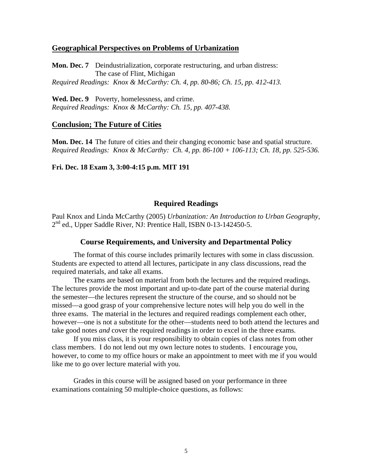# **Geographical Perspectives on Problems of Urbanization**

**Mon. Dec. 7** Deindustrialization, corporate restructuring, and urban distress: The case of Flint, Michigan *Required Readings: Knox & McCarthy: Ch. 4, pp. 80-86; Ch. 15, pp. 412-413.*

**Wed. Dec. 9** Poverty, homelessness, and crime. *Required Readings: Knox & McCarthy: Ch. 15, pp. 407-438.*

#### **Conclusion; The Future of Cities**

**Mon. Dec. 14** The future of cities and their changing economic base and spatial structure. *Required Readings: Knox & McCarthy: Ch. 4, pp. 86-100 + 106-113; Ch. 18, pp. 525-536.* 

## **Fri. Dec. 18 Exam 3, 3:00-4:15 p.m. MIT 191**

## **Required Readings**

Paul Knox and Linda McCarthy (2005) *Urbanization: An Introduction to Urban Geography*,  $2<sup>nd</sup>$  ed., Upper Saddle River, NJ: Prentice Hall, ISBN 0-13-142450-5.

#### **Course Requirements, and University and Departmental Policy**

The format of this course includes primarily lectures with some in class discussion. Students are expected to attend all lectures, participate in any class discussions, read the required materials, and take all exams.

 The exams are based on material from both the lectures and the required readings. The lectures provide the most important and up-to-date part of the course material during the semester—the lectures represent the structure of the course, and so should not be missed—a good grasp of your comprehensive lecture notes will help you do well in the three exams. The material in the lectures and required readings complement each other, however—one is not a substitute for the other—students need to both attend the lectures and take good notes *and* cover the required readings in order to excel in the three exams.

 If you miss class, it is your responsibility to obtain copies of class notes from other class members. I do not lend out my own lecture notes to students. I encourage you, however, to come to my office hours or make an appointment to meet with me if you would like me to go over lecture material with you.

Grades in this course will be assigned based on your performance in three examinations containing 50 multiple-choice questions, as follows: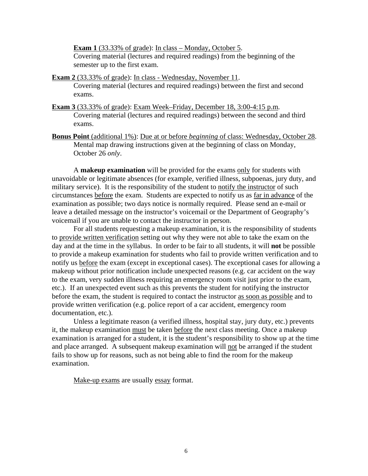**Exam 1** (33.33% of grade): In class – Monday, October 5. Covering material (lectures and required readings) from the beginning of the semester up to the first exam.

- **Exam 2** (33.33% of grade): In class Wednesday, November 11. Covering material (lectures and required readings) between the first and second exams.
- **Exam 3** (33.33% of grade): Exam Week–Friday, December 18, 3:00-4:15 p.m. Covering material (lectures and required readings) between the second and third exams.
- **Bonus Point** (additional 1%): Due at or before *beginning* of class: Wednesday, October 28. Mental map drawing instructions given at the beginning of class on Monday, October 26 *only*.

 A **makeup examination** will be provided for the exams only for students with unavoidable or legitimate absences (for example, verified illness, subpoenas, jury duty, and military service). It is the responsibility of the student to notify the instructor of such circumstances before the exam. Students are expected to notify us as far in advance of the examination as possible; two days notice is normally required. Please send an e-mail or leave a detailed message on the instructor's voicemail or the Department of Geography's voicemail if you are unable to contact the instructor in person.

 For all students requesting a makeup examination, it is the responsibility of students to provide written verification setting out why they were not able to take the exam on the day and at the time in the syllabus. In order to be fair to all students, it will **not** be possible to provide a makeup examination for students who fail to provide written verification and to notify us before the exam (except in exceptional cases). The exceptional cases for allowing a makeup without prior notification include unexpected reasons (e.g. car accident on the way to the exam, very sudden illness requiring an emergency room visit just prior to the exam, etc.). If an unexpected event such as this prevents the student for notifying the instructor before the exam, the student is required to contact the instructor as soon as possible and to provide written verification (e.g. police report of a car accident, emergency room documentation, etc.).

 Unless a legitimate reason (a verified illness, hospital stay, jury duty, etc.) prevents it, the makeup examination must be taken before the next class meeting. Once a makeup examination is arranged for a student, it is the student's responsibility to show up at the time and place arranged. A subsequent makeup examination will not be arranged if the student fails to show up for reasons, such as not being able to find the room for the makeup examination.

Make-up exams are usually essay format.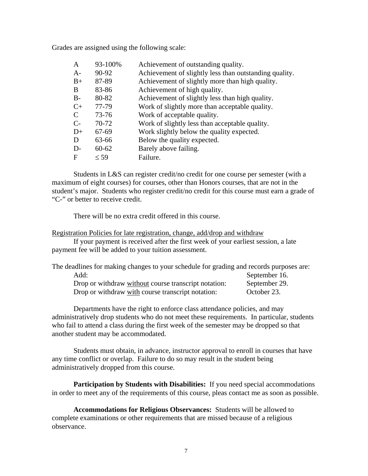Grades are assigned using the following scale:

| A     | 93-100%   | Achievement of outstanding quality.                    |
|-------|-----------|--------------------------------------------------------|
| $A-$  | 90-92     | Achievement of slightly less than outstanding quality. |
| $B+$  | 87-89     | Achievement of slightly more than high quality.        |
| B     | 83-86     | Achievement of high quality.                           |
| $B -$ | 80-82     | Achievement of slightly less than high quality.        |
| $C+$  | 77-79     | Work of slightly more than acceptable quality.         |
| C     | $73 - 76$ | Work of acceptable quality.                            |
| $C-$  | $70-72$   | Work of slightly less than acceptable quality.         |
| $D+$  | 67-69     | Work slightly below the quality expected.              |
| D     | 63-66     | Below the quality expected.                            |
| $D-$  | $60 - 62$ | Barely above failing.                                  |
| F     | $\leq 59$ | Failure.                                               |

Students in L&S can register credit/no credit for one course per semester (with a maximum of eight courses) for courses, other than Honors courses, that are not in the student's major. Students who register credit/no credit for this course must earn a grade of "C-" or better to receive credit.

There will be no extra credit offered in this course.

#### Registration Policies for late registration, change, add/drop and withdraw

 If your payment is received after the first week of your earliest session, a late payment fee will be added to your tuition assessment.

| The deadlines for making changes to your schedule for grading and records purposes are: |               |
|-----------------------------------------------------------------------------------------|---------------|
| Add:                                                                                    | September 16. |
| Drop or withdraw without course transcript notation:                                    | September 29. |
| Drop or withdraw with course transcript notation:                                       | October 23.   |

Departments have the right to enforce class attendance policies, and may administratively drop students who do not meet these requirements. In particular, students who fail to attend a class during the first week of the semester may be dropped so that another student may be accommodated.

Students must obtain, in advance, instructor approval to enroll in courses that have any time conflict or overlap. Failure to do so may result in the student being administratively dropped from this course.

**Participation by Students with Disabilities:** If you need special accommodations in order to meet any of the requirements of this course, pleas contact me as soon as possible.

**Accommodations for Religious Observances:** Students will be allowed to complete examinations or other requirements that are missed because of a religious observance.